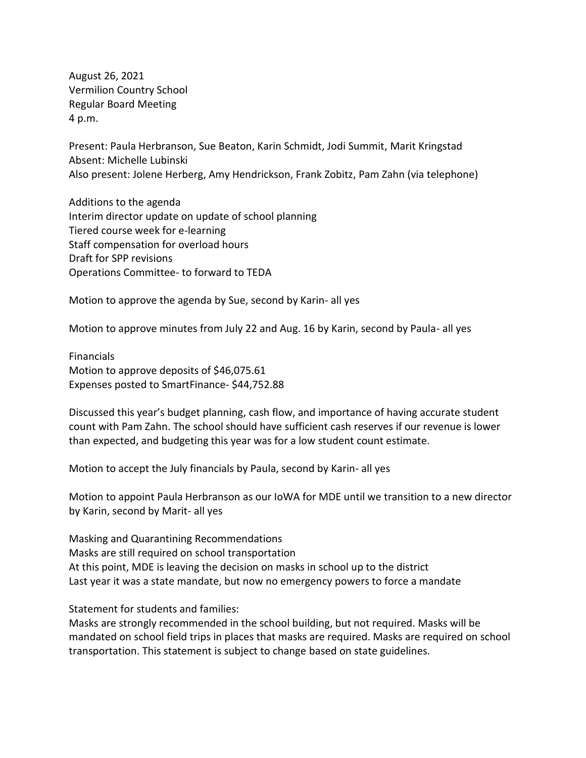August 26, 2021 Vermilion Country School Regular Board Meeting 4 p.m.

Present: Paula Herbranson, Sue Beaton, Karin Schmidt, Jodi Summit, Marit Kringstad Absent: Michelle Lubinski Also present: Jolene Herberg, Amy Hendrickson, Frank Zobitz, Pam Zahn (via telephone)

Additions to the agenda Interim director update on update of school planning Tiered course week for e-learning Staff compensation for overload hours Draft for SPP revisions Operations Committee- to forward to TEDA

Motion to approve the agenda by Sue, second by Karin- all yes

Motion to approve minutes from July 22 and Aug. 16 by Karin, second by Paula- all yes

Financials Motion to approve deposits of \$46,075.61 Expenses posted to SmartFinance- \$44,752.88

Discussed this year's budget planning, cash flow, and importance of having accurate student count with Pam Zahn. The school should have sufficient cash reserves if our revenue is lower than expected, and budgeting this year was for a low student count estimate.

Motion to accept the July financials by Paula, second by Karin- all yes

Motion to appoint Paula Herbranson as our IoWA for MDE until we transition to a new director by Karin, second by Marit- all yes

Masking and Quarantining Recommendations Masks are still required on school transportation At this point, MDE is leaving the decision on masks in school up to the district Last year it was a state mandate, but now no emergency powers to force a mandate

Statement for students and families:

Masks are strongly recommended in the school building, but not required. Masks will be mandated on school field trips in places that masks are required. Masks are required on school transportation. This statement is subject to change based on state guidelines.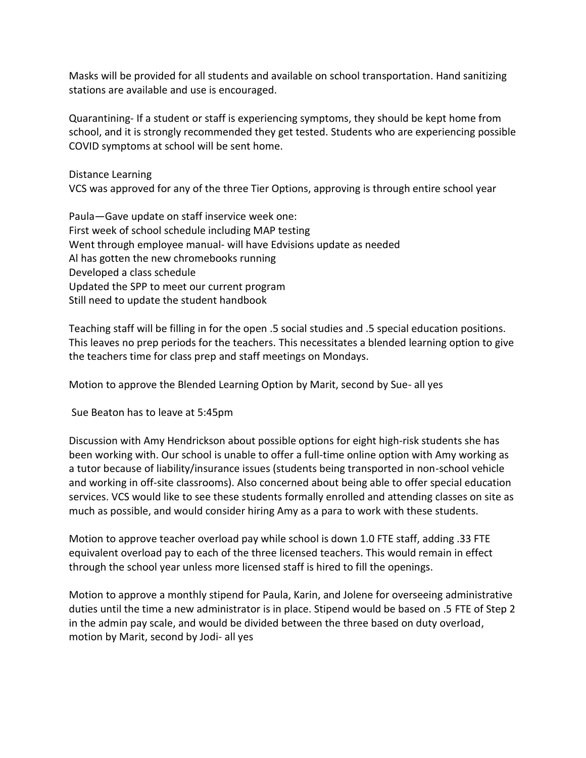Masks will be provided for all students and available on school transportation. Hand sanitizing stations are available and use is encouraged.

Quarantining- If a student or staff is experiencing symptoms, they should be kept home from school, and it is strongly recommended they get tested. Students who are experiencing possible COVID symptoms at school will be sent home.

Distance Learning

VCS was approved for any of the three Tier Options, approving is through entire school year

Paula—Gave update on staff inservice week one: First week of school schedule including MAP testing Went through employee manual- will have Edvisions update as needed Al has gotten the new chromebooks running Developed a class schedule Updated the SPP to meet our current program Still need to update the student handbook

Teaching staff will be filling in for the open .5 social studies and .5 special education positions. This leaves no prep periods for the teachers. This necessitates a blended learning option to give the teachers time for class prep and staff meetings on Mondays.

Motion to approve the Blended Learning Option by Marit, second by Sue- all yes

Sue Beaton has to leave at 5:45pm

Discussion with Amy Hendrickson about possible options for eight high-risk students she has been working with. Our school is unable to offer a full-time online option with Amy working as a tutor because of liability/insurance issues (students being transported in non-school vehicle and working in off-site classrooms). Also concerned about being able to offer special education services. VCS would like to see these students formally enrolled and attending classes on site as much as possible, and would consider hiring Amy as a para to work with these students.

Motion to approve teacher overload pay while school is down 1.0 FTE staff, adding .33 FTE equivalent overload pay to each of the three licensed teachers. This would remain in effect through the school year unless more licensed staff is hired to fill the openings.

Motion to approve a monthly stipend for Paula, Karin, and Jolene for overseeing administrative duties until the time a new administrator is in place. Stipend would be based on .5 FTE of Step 2 in the admin pay scale, and would be divided between the three based on duty overload, motion by Marit, second by Jodi- all yes